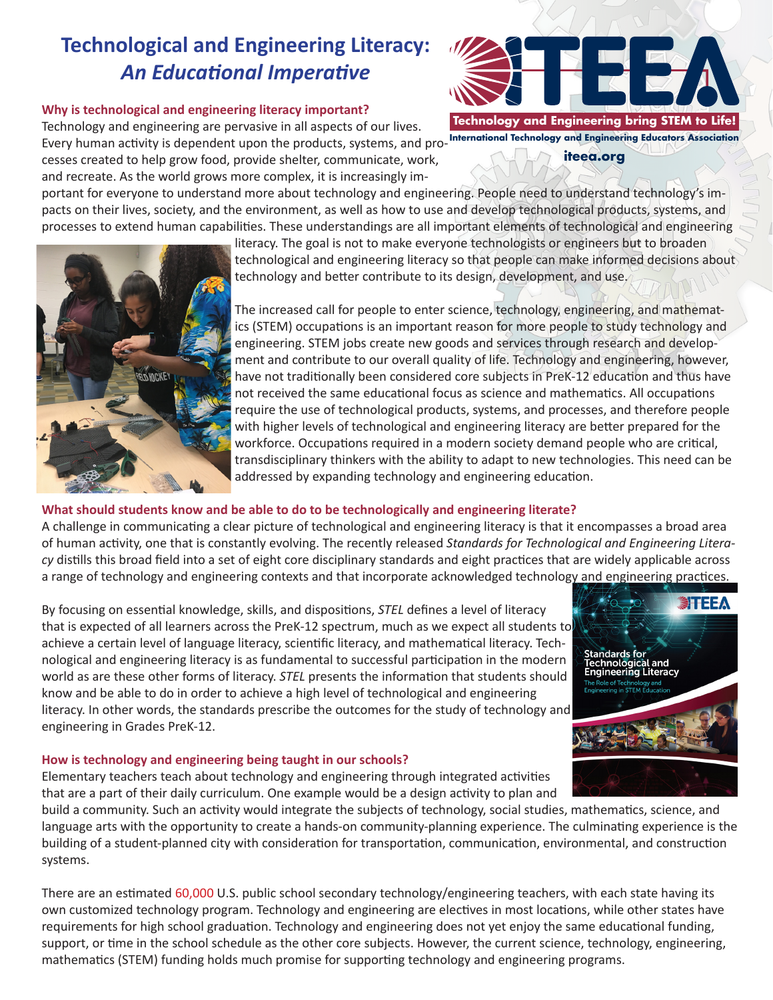# **Technological and Engineering Literacy:**  *An Educational Imperative*

### **Why is technological and engineering literacy important?**

Technology and engineering are pervasive in all aspects of our lives. Every human activity is dependent upon the products, systems, and pro-**International Technology and Engineering Educators Association** cesses created to help grow food, provide shelter, communicate, work, and recreate. As the world grows more complex, it is increasingly im-

portant for everyone to understand more about technology and engineering. People need to understand technology's impacts on their lives, society, and the environment, as well as how to use and develop technological products, systems, and processes to extend human capabilities. These understandings are all important elements of technological and engineering

literacy. The goal is not to make everyone technologists or engineers but to broaden technological and engineering literacy so that people can make informed decisions about technology and better contribute to its design, development, and use,

The increased call for people to enter science, technology, engineering, and mathematics (STEM) occupations is an important reason for more people to study technology and engineering. STEM jobs create new goods and services through research and development and contribute to our overall quality of life. Technology and engineering, however, have not traditionally been considered core subjects in PreK-12 education and thus have not received the same educational focus as science and mathematics. All occupations require the use of technological products, systems, and processes, and therefore people with higher levels of technological and engineering literacy are better prepared for the workforce. Occupations required in a modern society demand people who are critical, transdisciplinary thinkers with the ability to adapt to new technologies. This need can be addressed by expanding technology and engineering education.

# **What should students know and be able to do to be technologically and engineering literate?**

A challenge in communicating a clear picture of technological and engineering literacy is that it encompasses a broad area of human activity, one that is constantly evolving. The recently released *Standards for Technological and Engineering Literacy* distills this broad field into a set of eight core disciplinary standards and eight practices that are widely applicable across a range of technology and engineering contexts and that incorporate acknowledged technology and engineering practices.

By focusing on essential knowledge, skills, and dispositions, *STEL* defines a level of literacy that is expected of all learners across the PreK-12 spectrum, much as we expect all students to achieve a certain level of language literacy, scientific literacy, and mathematical literacy. Technological and engineering literacy is as fundamental to successful participation in the modern world as are these other forms of literacy. *STEL* presents the information that students should know and be able to do in order to achieve a high level of technological and engineering literacy. In other words, the standards prescribe the outcomes for the study of technology and engineering in Grades PreK-12.

## **How is technology and engineering being taught in our schools?**

Elementary teachers teach about technology and engineering through integrated activities that are a part of their daily curriculum. One example would be a design activity to plan and

build a community. Such an activity would integrate the subjects of technology, social studies, mathematics, science, and language arts with the opportunity to create a hands-on community-planning experience. The culminating experience is the building of a student-planned city with consideration for transportation, communication, environmental, and construction systems.

There are an estimated 60,000 U.S. public school secondary technology/engineering teachers, with each state having its own customized technology program. Technology and engineering are electives in most locations, while other states have requirements for high school graduation. Technology and engineering does not yet enjoy the same educational funding, support, or time in the school schedule as the other core subjects. However, the current science, technology, engineering, mathematics (STEM) funding holds much promise for supporting technology and engineering programs.





**iteea.org**

**SITEE A** 

**Standards for** 

**Engineering Literacy** 

l and